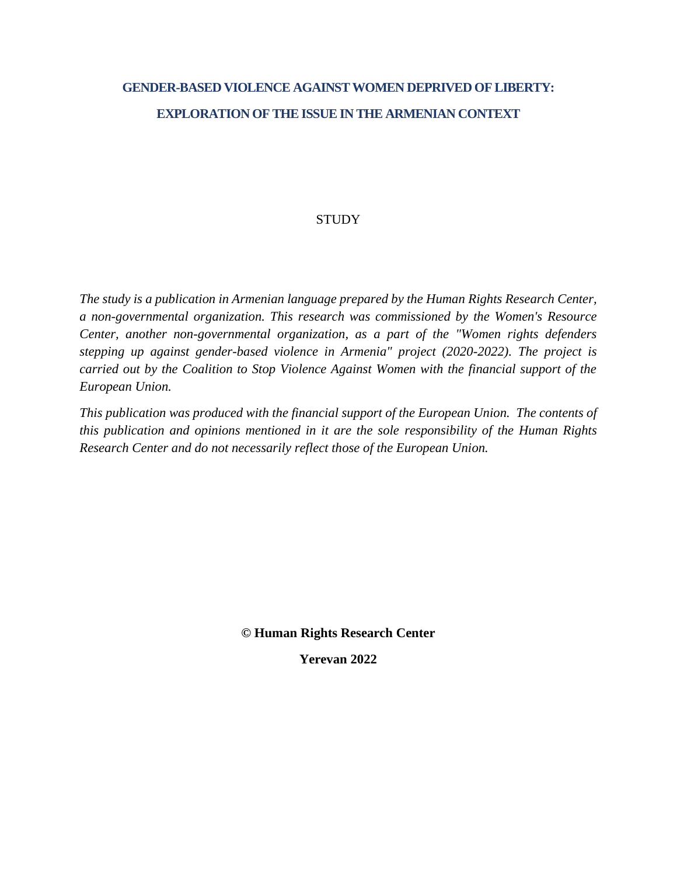# **GENDER-BASED VIOLENCE AGAINST WOMEN DEPRIVED OF LIBERTY: EXPLORATION OF THE ISSUE IN THE ARMENIAN CONTEXT**

### **STUDY**

*The study is a publication in Armenian language prepared by the Human Rights Research Center, a non-governmental organization. This research was commissioned by the Women's Resource Center, another non-governmental organization, as a part of the "Women rights defenders stepping up against gender-based violence in Armenia" project (2020-2022). The project is carried out by the Coalition to Stop Violence Against Women with the financial support of the European Union.*

*This publication was produced with the financial support of the European Union. The contents of this publication and opinions mentioned in it are the sole responsibility of the Human Rights Research Center and do not necessarily reflect those of the European Union.*

**© Human Rights Research Center**

**Yerevan 2022**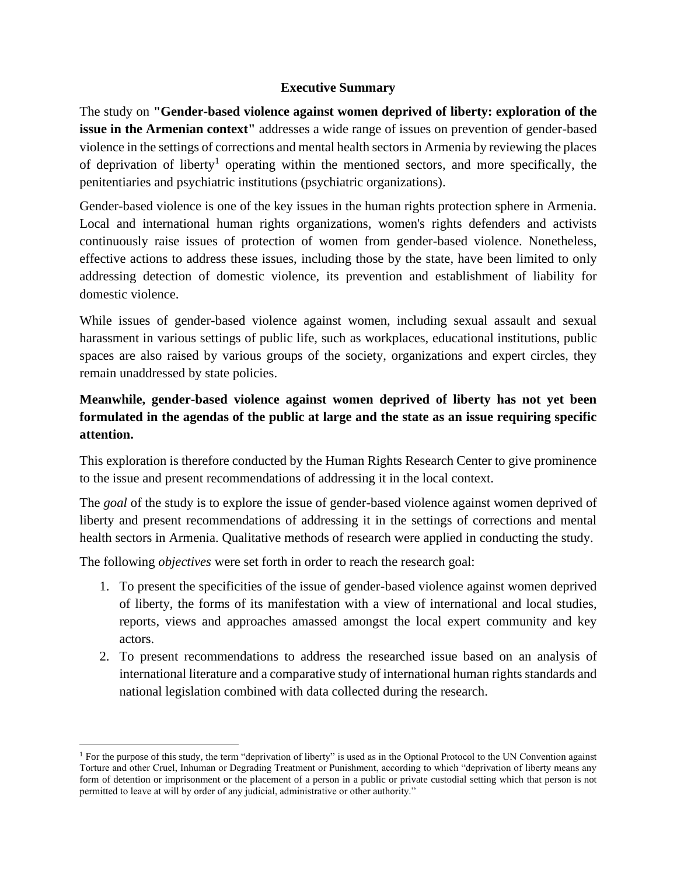#### **Executive Summary**

The study on **"Gender-based violence against women deprived of liberty: exploration of the issue in the Armenian context"** addresses a wide range of issues on prevention of gender-based violence in the settings of corrections and mental health sectors in Armenia by reviewing the places of deprivation of liberty<sup>1</sup> operating within the mentioned sectors, and more specifically, the penitentiaries and psychiatric institutions (psychiatric organizations).

Gender-based violence is one of the key issues in the human rights protection sphere in Armenia. Local and international human rights organizations, women's rights defenders and activists continuously raise issues of protection of women from gender-based violence. Nonetheless, effective actions to address these issues, including those by the state, have been limited to only addressing detection of domestic violence, its prevention and establishment of liability for domestic violence.

While issues of gender-based violence against women, including sexual assault and sexual harassment in various settings of public life, such as workplaces, educational institutions, public spaces are also raised by various groups of the society, organizations and expert circles, they remain unaddressed by state policies.

# **Meanwhile, gender-based violence against women deprived of liberty has not yet been formulated in the agendas of the public at large and the state as an issue requiring specific attention.**

This exploration is therefore conducted by the Human Rights Research Center to give prominence to the issue and present recommendations of addressing it in the local context.

The *goal* of the study is to explore the issue of gender-based violence against women deprived of liberty and present recommendations of addressing it in the settings of corrections and mental health sectors in Armenia. Qualitative methods of research were applied in conducting the study.

The following *objectives* were set forth in order to reach the research goal:

- 1. To present the specificities of the issue of gender-based violence against women deprived of liberty, the forms of its manifestation with a view of international and local studies, reports, views and approaches amassed amongst the local expert community and key actors.
- 2. To present recommendations to address the researched issue based on an analysis of international literature and a comparative study of international human rights standards and national legislation combined with data collected during the research.

<sup>&</sup>lt;sup>1</sup> For the purpose of this study, the term "deprivation of liberty" is used as in the Optional Protocol to the UN Convention against Torture and other Cruel, Inhuman or Degrading Treatment or Punishment, according to which "deprivation of liberty means any form of detention or imprisonment or the placement of a person in a public or private custodial setting which that person is not permitted to leave at will by order of any judicial, administrative or other authority."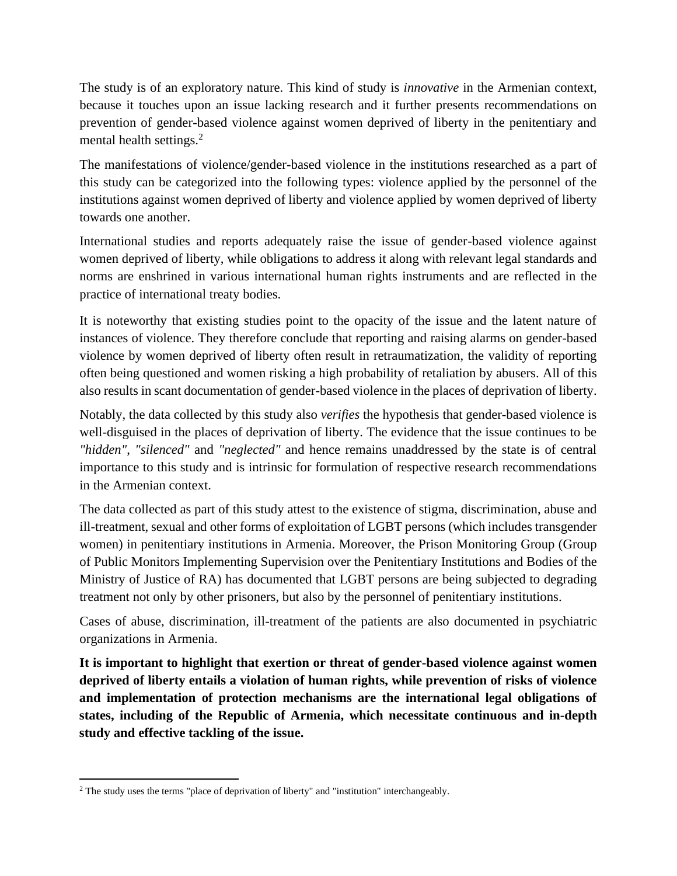The study is of an exploratory nature. This kind of study is *innovative* in the Armenian context, because it touches upon an issue lacking research and it further presents recommendations on prevention of gender-based violence against women deprived of liberty in the penitentiary and mental health settings.<sup>2</sup>

The manifestations of violence/gender-based violence in the institutions researched as a part of this study can be categorized into the following types: violence applied by the personnel of the institutions against women deprived of liberty and violence applied by women deprived of liberty towards one another.

International studies and reports adequately raise the issue of gender-based violence against women deprived of liberty, while obligations to address it along with relevant legal standards and norms are enshrined in various international human rights instruments and are reflected in the practice of international treaty bodies.

It is noteworthy that existing studies point to the opacity of the issue and the latent nature of instances of violence. They therefore conclude that reporting and raising alarms on gender-based violence by women deprived of liberty often result in retraumatization, the validity of reporting often being questioned and women risking a high probability of retaliation by abusers. All of this also results in scant documentation of gender-based violence in the places of deprivation of liberty.

Notably, the data collected by this study also *verifies* the hypothesis that gender-based violence is well-disguised in the places of deprivation of liberty. The evidence that the issue continues to be *"hidden"*, *"silenced"* and *"neglected"* and hence remains unaddressed by the state is of central importance to this study and is intrinsic for formulation of respective research recommendations in the Armenian context.

The data collected as part of this study attest to the existence of stigma, discrimination, abuse and ill-treatment, sexual and other forms of exploitation of LGBT persons (which includes transgender women) in penitentiary institutions in Armenia. Moreover, the Prison Monitoring Group (Group of Public Monitors Implementing Supervision over the Penitentiary Institutions and Bodies of the Ministry of Justice of RA) has documented that LGBT persons are being subjected to degrading treatment not only by other prisoners, but also by the personnel of penitentiary institutions.

Cases of abuse, discrimination, ill-treatment of the patients are also documented in psychiatric organizations in Armenia.

**It is important to highlight that exertion or threat of gender-based violence against women deprived of liberty entails a violation of human rights, while prevention of risks of violence and implementation of protection mechanisms are the international legal obligations of states, including of the Republic of Armenia, which necessitate continuous and in-depth study and effective tackling of the issue.**

<sup>2</sup> The study uses the terms "place of deprivation of liberty" and "institution" interchangeably.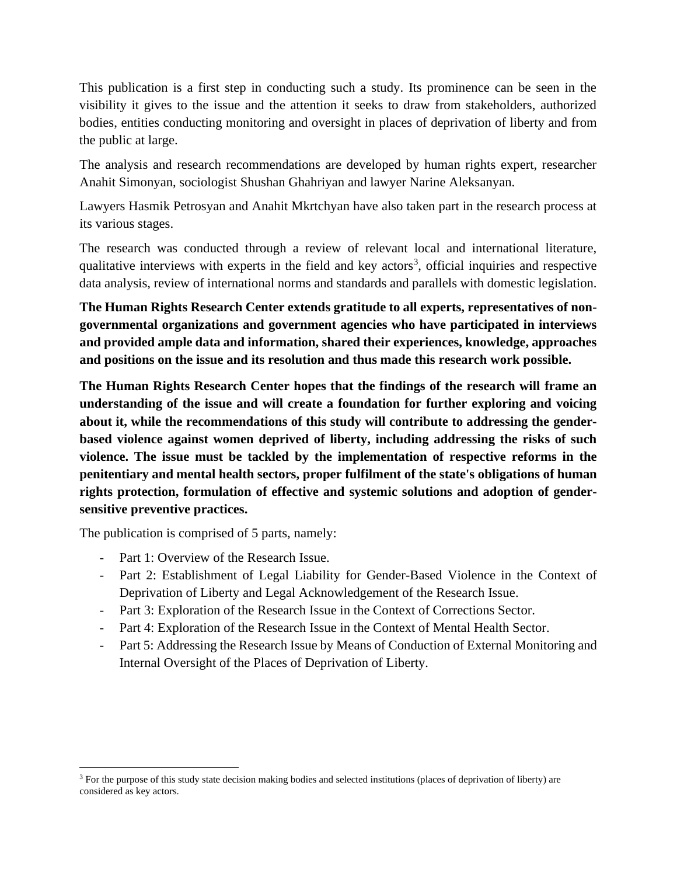This publication is a first step in conducting such a study. Its prominence can be seen in the visibility it gives to the issue and the attention it seeks to draw from stakeholders, authorized bodies, entities conducting monitoring and oversight in places of deprivation of liberty and from the public at large.

The analysis and research recommendations are developed by human rights expert, researcher Anahit Simonyan, sociologist Shushan Ghahriyan and lawyer Narine Aleksanyan.

Lawyers Hasmik Petrosyan and Anahit Mkrtchyan have also taken part in the research process at its various stages.

The research was conducted through a review of relevant local and international literature, qualitative interviews with experts in the field and key actors<sup>3</sup>, official inquiries and respective data analysis, review of international norms and standards and parallels with domestic legislation.

**The Human Rights Research Center extends gratitude to all experts, representatives of nongovernmental organizations and government agencies who have participated in interviews and provided ample data and information, shared their experiences, knowledge, approaches and positions on the issue and its resolution and thus made this research work possible.**

**The Human Rights Research Center hopes that the findings of the research will frame an understanding of the issue and will create a foundation for further exploring and voicing about it, while the recommendations of this study will contribute to addressing the genderbased violence against women deprived of liberty, including addressing the risks of such violence. The issue must be tackled by the implementation of respective reforms in the penitentiary and mental health sectors, proper fulfilment of the state's obligations of human rights protection, formulation of effective and systemic solutions and adoption of gendersensitive preventive practices.** 

The publication is comprised of 5 parts, namely:

- Part 1: Overview of the Research Issue.
- Part 2: Establishment of Legal Liability for Gender-Based Violence in the Context of Deprivation of Liberty and Legal Acknowledgement of the Research Issue.
- Part 3: Exploration of the Research Issue in the Context of Corrections Sector.
- Part 4: Exploration of the Research Issue in the Context of Mental Health Sector.
- Part 5: Addressing the Research Issue by Means of Conduction of External Monitoring and Internal Oversight of the Places of Deprivation of Liberty.

<sup>&</sup>lt;sup>3</sup> For the purpose of this study state decision making bodies and selected institutions (places of deprivation of liberty) are considered as key actors.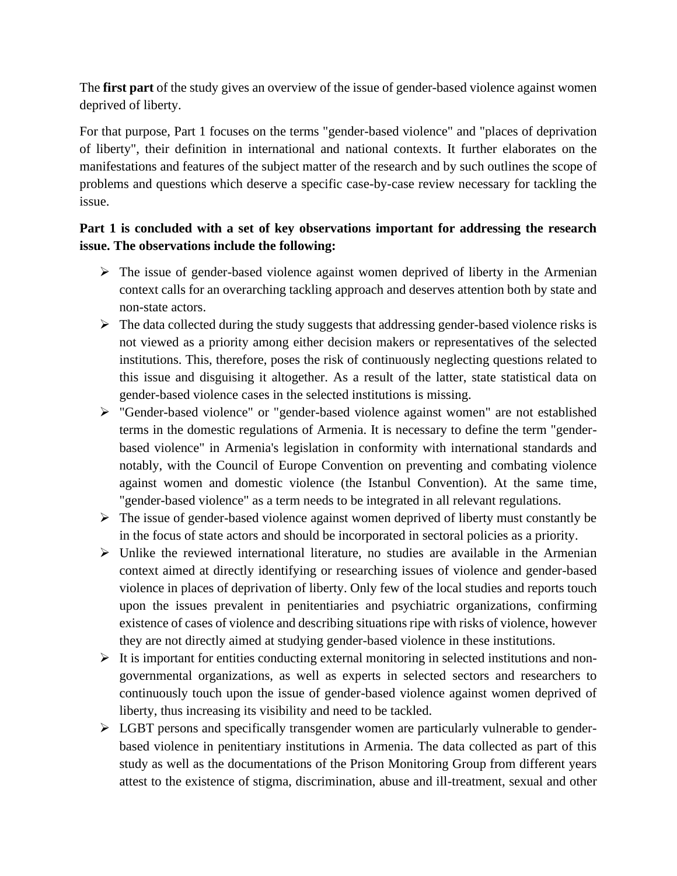The **first part** of the study gives an overview of the issue of gender-based violence against women deprived of liberty.

For that purpose, Part 1 focuses on the terms "gender-based violence" and "places of deprivation of liberty", their definition in international and national contexts. It further elaborates on the manifestations and features of the subject matter of the research and by such outlines the scope of problems and questions which deserve a specific case-by-case review necessary for tackling the issue.

# **Part 1 is concluded with a set of key observations important for addressing the research issue. The observations include the following:**

- $\triangleright$  The issue of gender-based violence against women deprived of liberty in the Armenian context calls for an overarching tackling approach and deserves attention both by state and non-state actors.
- $\triangleright$  The data collected during the study suggests that addressing gender-based violence risks is not viewed as a priority among either decision makers or representatives of the selected institutions. This, therefore, poses the risk of continuously neglecting questions related to this issue and disguising it altogether. As a result of the latter, state statistical data on gender-based violence cases in the selected institutions is missing.
- ➢ "Gender-based violence" or "gender-based violence against women" are not established terms in the domestic regulations of Armenia. It is necessary to define the term "genderbased violence" in Armenia's legislation in conformity with international standards and notably, with the Council of Europe Convention on preventing and combating violence against women and domestic violence (the Istanbul Convention). At the same time, "gender-based violence" as a term needs to be integrated in all relevant regulations.
- ➢ The issue of gender-based violence against women deprived of liberty must constantly be in the focus of state actors and should be incorporated in sectoral policies as a priority.
- ➢ Unlike the reviewed international literature, no studies are available in the Armenian context aimed at directly identifying or researching issues of violence and gender-based violence in places of deprivation of liberty. Only few of the local studies and reports touch upon the issues prevalent in penitentiaries and psychiatric organizations, confirming existence of cases of violence and describing situations ripe with risks of violence, however they are not directly aimed at studying gender-based violence in these institutions.
- $\triangleright$  It is important for entities conducting external monitoring in selected institutions and nongovernmental organizations, as well as experts in selected sectors and researchers to continuously touch upon the issue of gender-based violence against women deprived of liberty, thus increasing its visibility and need to be tackled.
- ➢ LGBT persons and specifically transgender women are particularly vulnerable to genderbased violence in penitentiary institutions in Armenia. The data collected as part of this study as well as the documentations of the Prison Monitoring Group from different years attest to the existence of stigma, discrimination, abuse and ill-treatment, sexual and other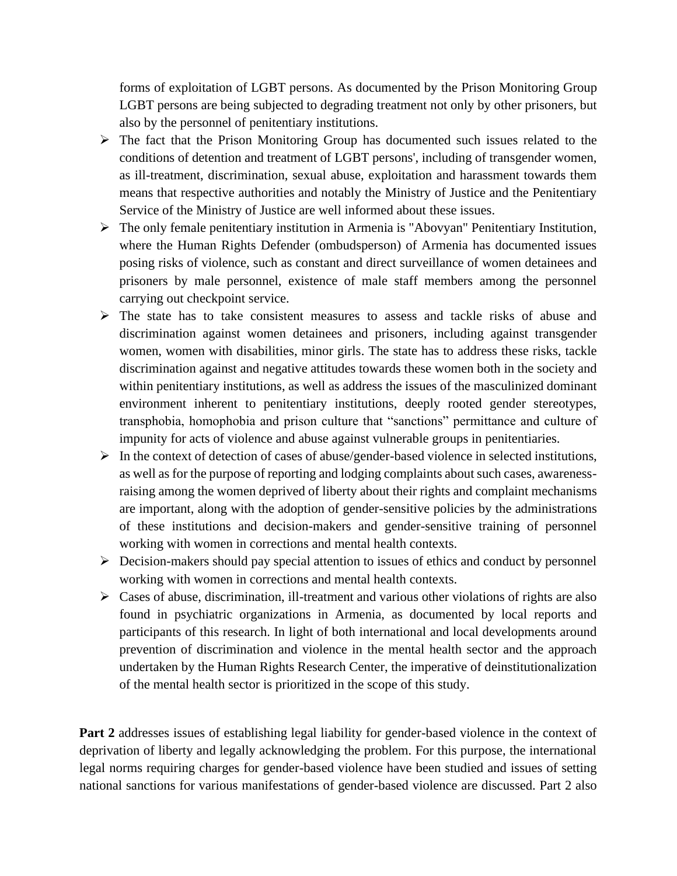forms of exploitation of LGBT persons. As documented by the Prison Monitoring Group LGBT persons are being subjected to degrading treatment not only by other prisoners, but also by the personnel of penitentiary institutions.

- ➢ The fact that the Prison Monitoring Group has documented such issues related to the conditions of detention and treatment of LGBT persons', including of transgender women, as ill-treatment, discrimination, sexual abuse, exploitation and harassment towards them means that respective authorities and notably the Ministry of Justice and the Penitentiary Service of the Ministry of Justice are well informed about these issues.
- ➢ The only female penitentiary institution in Armenia is "Abovyan" Penitentiary Institution, where the Human Rights Defender (ombudsperson) of Armenia has documented issues posing risks of violence, such as constant and direct surveillance of women detainees and prisoners by male personnel, existence of male staff members among the personnel carrying out checkpoint service.
- ➢ The state has to take consistent measures to assess and tackle risks of abuse and discrimination against women detainees and prisoners, including against transgender women, women with disabilities, minor girls. The state has to address these risks, tackle discrimination against and negative attitudes towards these women both in the society and within penitentiary institutions, as well as address the issues of the masculinized dominant environment inherent to penitentiary institutions, deeply rooted gender stereotypes, transphobia, homophobia and prison culture that "sanctions" permittance and culture of impunity for acts of violence and abuse against vulnerable groups in penitentiaries.
- ➢ In the context of detection of cases of abuse/gender-based violence in selected institutions, as well as for the purpose of reporting and lodging complaints about such cases, awarenessraising among the women deprived of liberty about their rights and complaint mechanisms are important, along with the adoption of gender-sensitive policies by the administrations of these institutions and decision-makers and gender-sensitive training of personnel working with women in corrections and mental health contexts.
- ➢ Decision-makers should pay special attention to issues of ethics and conduct by personnel working with women in corrections and mental health contexts.
- ➢ Cases of abuse, discrimination, ill-treatment and various other violations of rights are also found in psychiatric organizations in Armenia, as documented by local reports and participants of this research. In light of both international and local developments around prevention of discrimination and violence in the mental health sector and the approach undertaken by the Human Rights Research Center, the imperative of deinstitutionalization of the mental health sector is prioritized in the scope of this study.

Part 2 addresses issues of establishing legal liability for gender-based violence in the context of deprivation of liberty and legally acknowledging the problem. For this purpose, the international legal norms requiring charges for gender-based violence have been studied and issues of setting national sanctions for various manifestations of gender-based violence are discussed. Part 2 also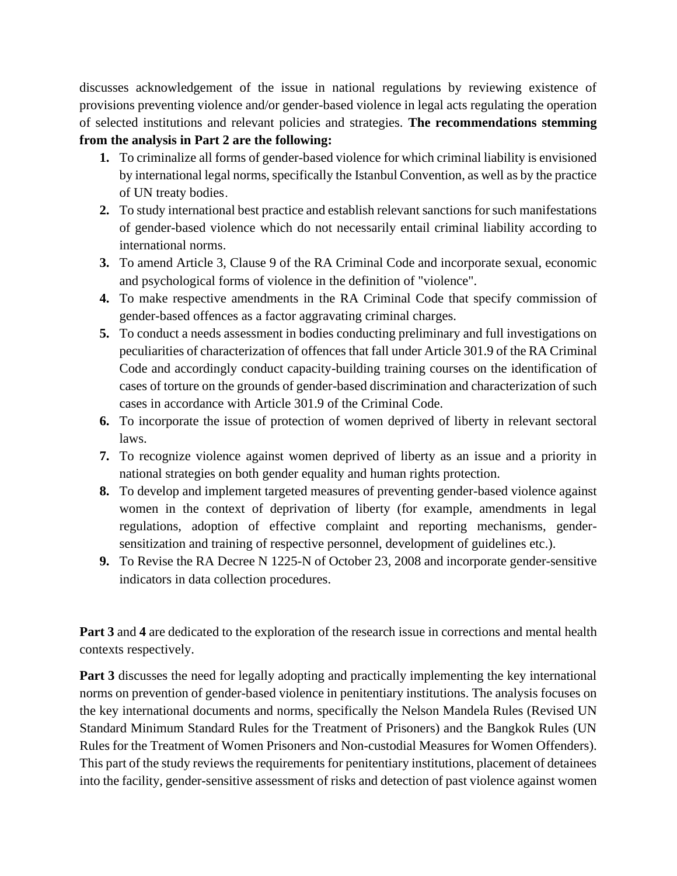discusses acknowledgement of the issue in national regulations by reviewing existence of provisions preventing violence and/or gender-based violence in legal acts regulating the operation of selected institutions and relevant policies and strategies. **The recommendations stemming** 

### **from the analysis in Part 2 are the following:**

- **1.** To criminalize all forms of gender-based violence for which criminal liability is envisioned by international legal norms, specifically the Istanbul Convention, as well as by the practice of UN treaty bodies․
- **2.** To study international best practice and establish relevant sanctions for such manifestations of gender-based violence which do not necessarily entail criminal liability according to international norms.
- **3.** To amend Article 3, Clause 9 of the RA Criminal Code and incorporate sexual, economic and psychological forms of violence in the definition of "violence".
- **4.** To make respective amendments in the RA Criminal Code that specify commission of gender-based offences as a factor aggravating criminal charges.
- **5.** To conduct a needs assessment in bodies conducting preliminary and full investigations on peculiarities of characterization of offences that fall under Article 301.9 of the RA Criminal Code and accordingly conduct capacity-building training courses on the identification of cases of torture on the grounds of gender-based discrimination and characterization of such cases in accordance with Article 301.9 of the Criminal Code.
- **6.** To incorporate the issue of protection of women deprived of liberty in relevant sectoral laws.
- **7.** To recognize violence against women deprived of liberty as an issue and a priority in national strategies on both gender equality and human rights protection.
- **8.** To develop and implement targeted measures of preventing gender-based violence against women in the context of deprivation of liberty (for example, amendments in legal regulations, adoption of effective complaint and reporting mechanisms, gendersensitization and training of respective personnel, development of guidelines etc.).
- **9.** To Revise the RA Decree N 1225-N of October 23, 2008 and incorporate gender-sensitive indicators in data collection procedures.

**Part 3** and **4** are dedicated to the exploration of the research issue in corrections and mental health contexts respectively.

**Part 3** discusses the need for legally adopting and practically implementing the key international norms on prevention of gender-based violence in penitentiary institutions. The analysis focuses on the key international documents and norms, specifically the Nelson Mandela Rules (Revised UN Standard Minimum Standard Rules for the Treatment of Prisoners) and the Bangkok Rules (UN Rules for the Treatment of Women Prisoners and Non-custodial Measures for Women Offenders). This part of the study reviews the requirements for penitentiary institutions, placement of detainees into the facility, gender-sensitive assessment of risks and detection of past violence against women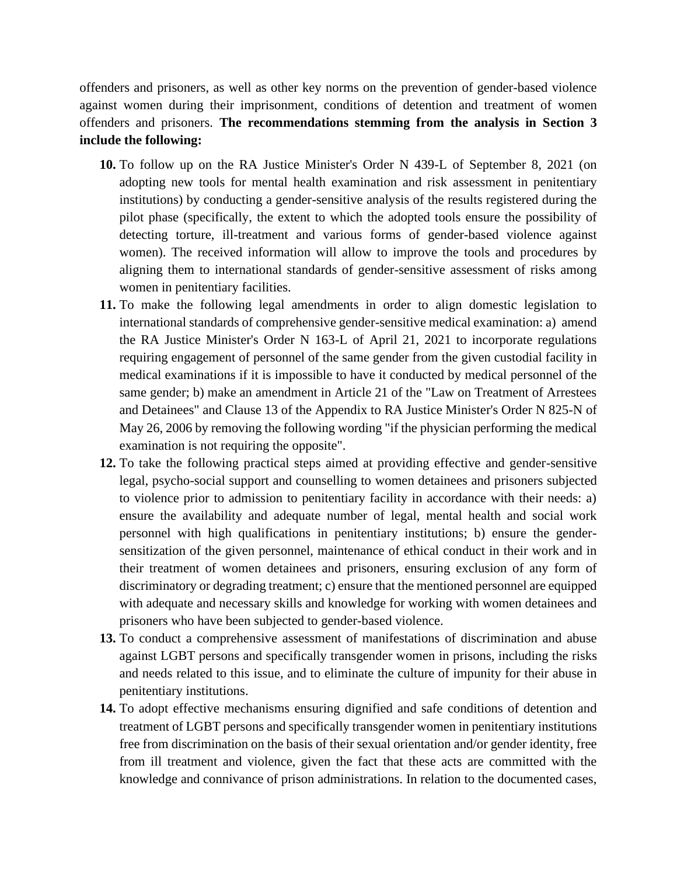offenders and prisoners, as well as other key norms on the prevention of gender-based violence against women during their imprisonment, conditions of detention and treatment of women offenders and prisoners. **The recommendations stemming from the analysis in Section 3 include the following:**

- **10.** To follow up on the RA Justice Minister's Order N 439-L of September 8, 2021 (on adopting new tools for mental health examination and risk assessment in penitentiary institutions) by conducting a gender-sensitive analysis of the results registered during the pilot phase (specifically, the extent to which the adopted tools ensure the possibility of detecting torture, ill-treatment and various forms of gender-based violence against women). The received information will allow to improve the tools and procedures by aligning them to international standards of gender-sensitive assessment of risks among women in penitentiary facilities.
- **11.** To make the following legal amendments in order to align domestic legislation to international standards of comprehensive gender-sensitive medical examination: a) amend the RA Justice Minister's Order N 163-L of April 21, 2021 to incorporate regulations requiring engagement of personnel of the same gender from the given custodial facility in medical examinations if it is impossible to have it conducted by medical personnel of the same gender; b) make an amendment in Article 21 of the "Law on Treatment of Arrestees and Detainees" and Clause 13 of the Appendix to RA Justice Minister's Order N 825-N of May 26, 2006 by removing the following wording "if the physician performing the medical examination is not requiring the opposite".
- **12.** To take the following practical steps aimed at providing effective and gender-sensitive legal, psycho-social support and counselling to women detainees and prisoners subjected to violence prior to admission to penitentiary facility in accordance with their needs: a) ensure the availability and adequate number of legal, mental health and social work personnel with high qualifications in penitentiary institutions; b) ensure the gendersensitization of the given personnel, maintenance of ethical conduct in their work and in their treatment of women detainees and prisoners, ensuring exclusion of any form of discriminatory or degrading treatment; c) ensure that the mentioned personnel are equipped with adequate and necessary skills and knowledge for working with women detainees and prisoners who have been subjected to gender-based violence.
- **13.** To conduct a comprehensive assessment of manifestations of discrimination and abuse against LGBT persons and specifically transgender women in prisons, including the risks and needs related to this issue, and to eliminate the culture of impunity for their abuse in penitentiary institutions.
- **14.** To adopt effective mechanisms ensuring dignified and safe conditions of detention and treatment of LGBT persons and specifically transgender women in penitentiary institutions free from discrimination on the basis of their sexual orientation and/or gender identity, free from ill treatment and violence, given the fact that these acts are committed with the knowledge and connivance of prison administrations. In relation to the documented cases,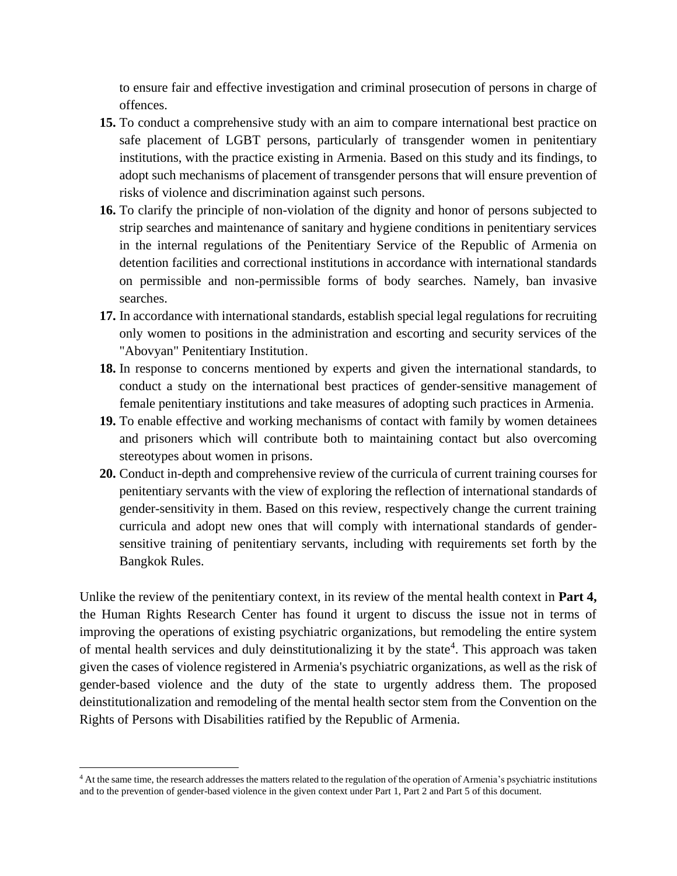to ensure fair and effective investigation and criminal prosecution of persons in charge of offences.

- **15.** To conduct a comprehensive study with an aim to compare international best practice on safe placement of LGBT persons, particularly of transgender women in penitentiary institutions, with the practice existing in Armenia. Based on this study and its findings, to adopt such mechanisms of placement of transgender persons that will ensure prevention of risks of violence and discrimination against such persons.
- **16.** To clarify the principle of non-violation of the dignity and honor of persons subjected to strip searches and maintenance of sanitary and hygiene conditions in penitentiary services in the internal regulations of the Penitentiary Service of the Republic of Armenia on detention facilities and correctional institutions in accordance with international standards on permissible and non-permissible forms of body searches. Namely, ban invasive searches.
- **17.** In accordance with international standards, establish special legal regulations for recruiting only women to positions in the administration and escorting and security services of the "Abovyan" Penitentiary Institution․
- **18.** In response to concerns mentioned by experts and given the international standards, to conduct a study on the international best practices of gender-sensitive management of female penitentiary institutions and take measures of adopting such practices in Armenia.
- **19.** To enable effective and working mechanisms of contact with family by women detainees and prisoners which will contribute both to maintaining contact but also overcoming stereotypes about women in prisons.
- **20.** Conduct in-depth and comprehensive review of the curricula of current training courses for penitentiary servants with the view of exploring the reflection of international standards of gender-sensitivity in them. Based on this review, respectively change the current training curricula and adopt new ones that will comply with international standards of gendersensitive training of penitentiary servants, including with requirements set forth by the Bangkok Rules.

Unlike the review of the penitentiary context, in its review of the mental health context in **Part 4,** the Human Rights Research Center has found it urgent to discuss the issue not in terms of improving the operations of existing psychiatric organizations, but remodeling the entire system of mental health services and duly deinstitutionalizing it by the state<sup>4</sup>. This approach was taken given the cases of violence registered in Armenia's psychiatric organizations, as well as the risk of gender-based violence and the duty of the state to urgently address them. The proposed deinstitutionalization and remodeling of the mental health sector stem from the Convention on the Rights of Persons with Disabilities ratified by the Republic of Armenia.

<sup>&</sup>lt;sup>4</sup> At the same time, the research addresses the matters related to the regulation of the operation of Armenia's psychiatric institutions and to the prevention of gender-based violence in the given context under Part 1, Part 2 and Part 5 of this document.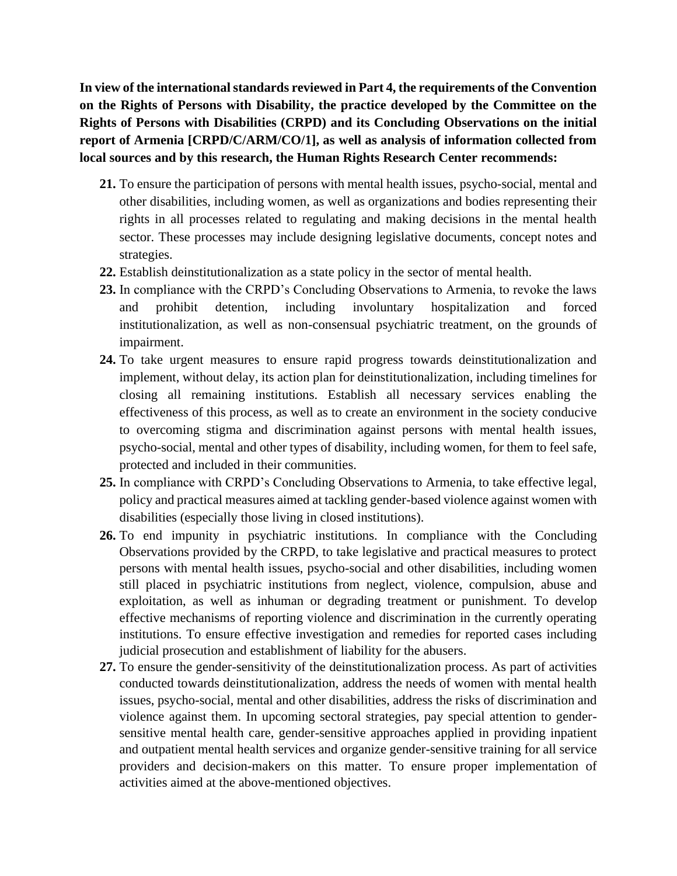**In view of the international standards reviewed in Part 4, the requirements of the Convention on the Rights of Persons with Disability, the practice developed by the Committee on the Rights of Persons with Disabilities (CRPD) and its Concluding Observations on the initial report of Armenia [CRPD/C/ARM/CO/1], as well as analysis of information collected from local sources and by this research, the Human Rights Research Center recommends:** 

- **21.** To ensure the participation of persons with mental health issues, psycho-social, mental and other disabilities, including women, as well as organizations and bodies representing their rights in all processes related to regulating and making decisions in the mental health sector. These processes may include designing legislative documents, concept notes and strategies.
- **22.** Establish deinstitutionalization as a state policy in the sector of mental health.
- **23.** In compliance with the CRPD's Concluding Observations to Armenia, to revoke the laws and prohibit detention, including involuntary hospitalization and forced institutionalization, as well as non-consensual psychiatric treatment, on the grounds of impairment.
- **24.** To take urgent measures to ensure rapid progress towards deinstitutionalization and implement, without delay, its action plan for deinstitutionalization, including timelines for closing all remaining institutions. Establish all necessary services enabling the effectiveness of this process, as well as to create an environment in the society conducive to overcoming stigma and discrimination against persons with mental health issues, psycho-social, mental and other types of disability, including women, for them to feel safe, protected and included in their communities.
- **25.** In compliance with CRPD's Concluding Observations to Armenia, to take effective legal, policy and practical measures aimed at tackling gender-based violence against women with disabilities (especially those living in closed institutions).
- **26.** To end impunity in psychiatric institutions. In compliance with the Concluding Observations provided by the CRPD, to take legislative and practical measures to protect persons with mental health issues, psycho-social and other disabilities, including women still placed in psychiatric institutions from neglect, violence, compulsion, abuse and exploitation, as well as inhuman or degrading treatment or punishment. To develop effective mechanisms of reporting violence and discrimination in the currently operating institutions. To ensure effective investigation and remedies for reported cases including judicial prosecution and establishment of liability for the abusers.
- **27.** To ensure the gender-sensitivity of the deinstitutionalization process. As part of activities conducted towards deinstitutionalization, address the needs of women with mental health issues, psycho-social, mental and other disabilities, address the risks of discrimination and violence against them. In upcoming sectoral strategies, pay special attention to gendersensitive mental health care, gender-sensitive approaches applied in providing inpatient and outpatient mental health services and organize gender-sensitive training for all service providers and decision-makers on this matter. To ensure proper implementation of activities aimed at the above-mentioned objectives.